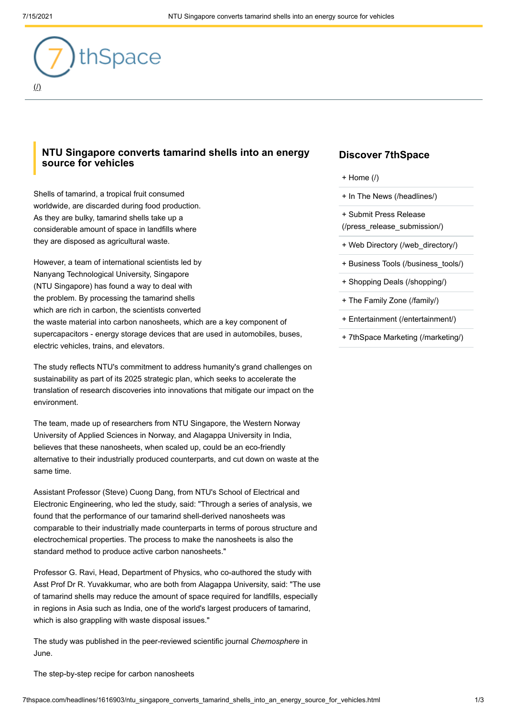

## **NTU Singapore converts tamarind shells into an energy source for vehicles**

Shells of tamarind, a tropical fruit consumed worldwide, are discarded during food production. As they are bulky, tamarind shells take up a considerable amount of space in landfills where they are disposed as agricultural waste.

However, a team of international scientists led by Nanyang Technological University, Singapore (NTU Singapore) has found a way to deal with the problem. By processing the tamarind shells which are rich in carbon, the scientists converted the waste material into carbon nanosheets, which are a key component of supercapacitors - energy storage devices that are used in automobiles, buses, electric vehicles, trains, and elevators.

The study reflects NTU's commitment to address humanity's grand challenges on sustainability as part of its 2025 strategic plan, which seeks to accelerate the translation of research discoveries into innovations that mitigate our impact on the environment.

The team, made up of researchers from NTU Singapore, the Western Norway University of Applied Sciences in Norway, and Alagappa University in India, believes that these nanosheets, when scaled up, could be an eco-friendly alternative to their industrially produced counterparts, and cut down on waste at the same time.

Assistant Professor (Steve) Cuong Dang, from NTU's School of Electrical and Electronic Engineering, who led the study, said: "Through a series of analysis, we found that the performance of our tamarind shell-derived nanosheets was comparable to their industrially made counterparts in terms of porous structure and electrochemical properties. The process to make the nanosheets is also the standard method to produce active carbon nanosheets."

Professor G. Ravi, Head, Department of Physics, who co-authored the study with Asst Prof Dr R. Yuvakkumar, who are both from Alagappa University, said: "The use of tamarind shells may reduce the amount of space required for landfills, especially in regions in Asia such as India, one of the world's largest producers of tamarind, which is also grappling with waste disposal issues."

The study was published in the peer-reviewed scientific journal *Chemosphere* in June.

The step-by-step recipe for carbon nanosheets

## **Discover 7thSpace**

- [+ Home \(/\)](http://7thspace.com/)
- [+ In The News \(/headlines/\)](http://7thspace.com/headlines/)
- + Submit Press Release [\(/press\\_release\\_submission/\)](http://7thspace.com/press_release_submission/)
- [+ Web Directory \(/web\\_directory/\)](http://7thspace.com/web_directory/)
- [+ Business Tools \(/business\\_tools/\)](http://7thspace.com/business_tools/)
- [+ Shopping Deals \(/shopping/\)](http://7thspace.com/shopping/)
- [+ The Family Zone \(/family/\)](http://7thspace.com/family/)
- [+ Entertainment \(/entertainment/\)](http://7thspace.com/entertainment/)
- [+ 7thSpace Marketing \(/marketing/\)](http://7thspace.com/marketing/)